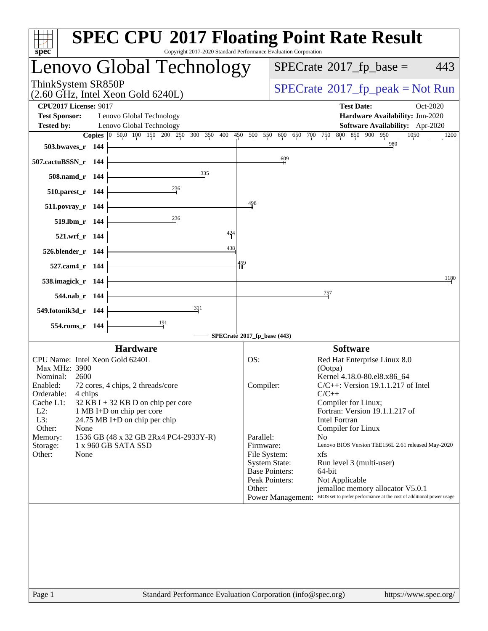| spec <sup>®</sup>                                                                                                                                                                                                                                                                                                                       | <b>SPEC CPU®2017 Floating Point Rate Result</b><br>Copyright 2017-2020 Standard Performance Evaluation Corporation                                                                                                                                                                             |
|-----------------------------------------------------------------------------------------------------------------------------------------------------------------------------------------------------------------------------------------------------------------------------------------------------------------------------------------|------------------------------------------------------------------------------------------------------------------------------------------------------------------------------------------------------------------------------------------------------------------------------------------------|
| Lenovo Global Technology                                                                                                                                                                                                                                                                                                                | $SPECrate^{\circ}2017$ _fp_base =<br>443                                                                                                                                                                                                                                                       |
| ThinkSystem SR850P<br>$(2.60 \text{ GHz}, \text{Intel Xeon Gold } 6240L)$                                                                                                                                                                                                                                                               | $SPECrate^{\circ}2017rfp peak = Not Run$                                                                                                                                                                                                                                                       |
| <b>CPU2017 License: 9017</b><br><b>Test Sponsor:</b><br>Lenovo Global Technology<br>Lenovo Global Technology<br><b>Tested by:</b>                                                                                                                                                                                                       | <b>Test Date:</b><br>Oct-2020<br>Hardware Availability: Jun-2020<br>Software Availability: Apr-2020                                                                                                                                                                                            |
| 503.bwaves_r $144$                                                                                                                                                                                                                                                                                                                      | Copies 0 50.0 100 150 200 250 300 350 400 450 500 550 600 650 700 750 800 850 900 950<br>1050<br>1200<br>980                                                                                                                                                                                   |
| 507.cactuBSSN_r 144                                                                                                                                                                                                                                                                                                                     | 609                                                                                                                                                                                                                                                                                            |
| 335<br>$508$ .namd_r 144                                                                                                                                                                                                                                                                                                                |                                                                                                                                                                                                                                                                                                |
| 236<br>$510.parest_r 144$                                                                                                                                                                                                                                                                                                               |                                                                                                                                                                                                                                                                                                |
| $511.povray_r$ 144<br>236                                                                                                                                                                                                                                                                                                               | 498                                                                                                                                                                                                                                                                                            |
| $519. lbm_r 144$<br>$\frac{424}{5}$                                                                                                                                                                                                                                                                                                     |                                                                                                                                                                                                                                                                                                |
| $521.wrf_r 144$<br>438<br>$526.$ blender_r 144 $\vdash$                                                                                                                                                                                                                                                                                 |                                                                                                                                                                                                                                                                                                |
| 527.cam4_r 144 $\vdash$                                                                                                                                                                                                                                                                                                                 | 459                                                                                                                                                                                                                                                                                            |
| 538.imagick_r 144                                                                                                                                                                                                                                                                                                                       | 1180                                                                                                                                                                                                                                                                                           |
| 544.nab_r $144$                                                                                                                                                                                                                                                                                                                         | $\frac{757}{2}$                                                                                                                                                                                                                                                                                |
| 311<br>549.fotonik3d_r $144$                                                                                                                                                                                                                                                                                                            |                                                                                                                                                                                                                                                                                                |
| 554.roms_r 144                                                                                                                                                                                                                                                                                                                          | SPECrate®2017_fp_base (443)                                                                                                                                                                                                                                                                    |
| <b>Hardware</b>                                                                                                                                                                                                                                                                                                                         | <b>Software</b>                                                                                                                                                                                                                                                                                |
| CPU Name: Intel Xeon Gold 6240L<br>Max MHz: 3900                                                                                                                                                                                                                                                                                        | OS:<br>Red Hat Enterprise Linux 8.0<br>(Ootpa)                                                                                                                                                                                                                                                 |
| Nominal:<br>2600<br>Enabled:<br>72 cores, 4 chips, 2 threads/core<br>Orderable:<br>4 chips<br>Cache L1:<br>$32$ KB I + 32 KB D on chip per core<br>$L2$ :<br>1 MB I+D on chip per core<br>L3:<br>24.75 MB I+D on chip per chip<br>Other:<br>None<br>1536 GB (48 x 32 GB 2Rx4 PC4-2933Y-R)<br>Memory:<br>1 x 960 GB SATA SSD<br>Storage: | Kernel 4.18.0-80.el8.x86_64<br>$C/C++$ : Version 19.1.1.217 of Intel<br>Compiler:<br>$C/C++$<br>Compiler for Linux;<br>Fortran: Version 19.1.1.217 of<br>Intel Fortran<br>Compiler for Linux<br>Parallel:<br>N <sub>0</sub><br>Firmware:<br>Lenovo BIOS Version TEE156L 2.61 released May-2020 |
| Other:<br>None                                                                                                                                                                                                                                                                                                                          | File System:<br>xfs<br><b>System State:</b><br>Run level 3 (multi-user)<br><b>Base Pointers:</b><br>64-bit<br>Peak Pointers:<br>Not Applicable<br>Other:<br>jemalloc memory allocator V5.0.1<br>Power Management: BIOS set to prefer performance at the cost of additional power usage         |
|                                                                                                                                                                                                                                                                                                                                         |                                                                                                                                                                                                                                                                                                |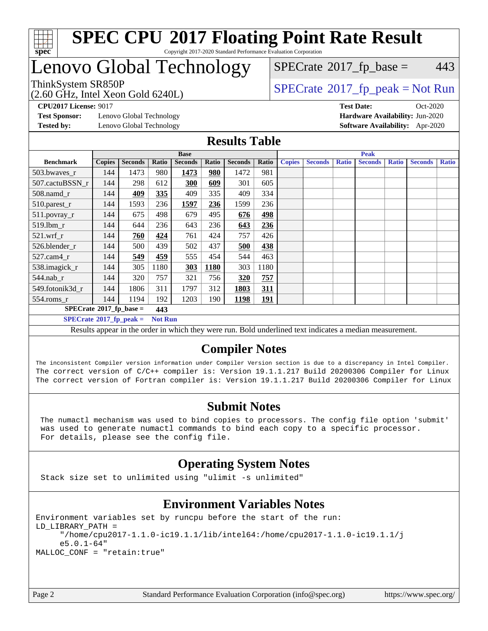

## Lenovo Global Technology

(2.60 GHz, Intel Xeon Gold 6240L)

ThinkSystem SR850P<br>  $\begin{array}{c}\n\text{ShinkSystem SRS50P} \\
\text{SPEC rate} \text{2017\_fp\_peak} = \text{Not Run}\n\end{array}$  $SPECTate$ <sup>®</sup>[2017\\_fp\\_base =](http://www.spec.org/auto/cpu2017/Docs/result-fields.html#SPECrate2017fpbase) 443

**[Test Sponsor:](http://www.spec.org/auto/cpu2017/Docs/result-fields.html#TestSponsor)** Lenovo Global Technology **[Hardware Availability:](http://www.spec.org/auto/cpu2017/Docs/result-fields.html#HardwareAvailability)** Jun-2020

**[CPU2017 License:](http://www.spec.org/auto/cpu2017/Docs/result-fields.html#CPU2017License)** 9017 **[Test Date:](http://www.spec.org/auto/cpu2017/Docs/result-fields.html#TestDate)** Oct-2020 **[Tested by:](http://www.spec.org/auto/cpu2017/Docs/result-fields.html#Testedby)** Lenovo Global Technology **[Software Availability:](http://www.spec.org/auto/cpu2017/Docs/result-fields.html#SoftwareAvailability)** Apr-2020

#### **[Results Table](http://www.spec.org/auto/cpu2017/Docs/result-fields.html#ResultsTable)**

| <b>Base</b>                                                                                               |               |                |       | <b>Peak</b>    |       |                |            |               |                |              |                |              |                |              |
|-----------------------------------------------------------------------------------------------------------|---------------|----------------|-------|----------------|-------|----------------|------------|---------------|----------------|--------------|----------------|--------------|----------------|--------------|
| <b>Benchmark</b>                                                                                          | <b>Copies</b> | <b>Seconds</b> | Ratio | <b>Seconds</b> | Ratio | <b>Seconds</b> | Ratio      | <b>Copies</b> | <b>Seconds</b> | <b>Ratio</b> | <b>Seconds</b> | <b>Ratio</b> | <b>Seconds</b> | <b>Ratio</b> |
| 503.bwaves_r                                                                                              | 144           | 1473           | 980   | 1473           | 980   | 1472           | 981        |               |                |              |                |              |                |              |
| 507.cactuBSSN r                                                                                           | 144           | 298            | 612   | 300            | 609   | 301            | 605        |               |                |              |                |              |                |              |
| $508$ .namd $r$                                                                                           | 144           | 409            | 335   | 409            | 335   | 409            | 334        |               |                |              |                |              |                |              |
| 510.parest_r                                                                                              | 144           | 1593           | 236   | 1597           | 236   | 1599           | 236        |               |                |              |                |              |                |              |
| 511.povray_r                                                                                              | 144           | 675            | 498   | 679            | 495   | 676            | 498        |               |                |              |                |              |                |              |
| $519.1$ bm r                                                                                              | 144           | 644            | 236   | 643            | 236   | 643            | 236        |               |                |              |                |              |                |              |
| $521$ .wrf r                                                                                              | 144           | 760            | 424   | 761            | 424   | 757            | 426        |               |                |              |                |              |                |              |
| 526.blender r                                                                                             | 144           | 500            | 439   | 502            | 437   | 500            | 438        |               |                |              |                |              |                |              |
| $527.cam4_r$                                                                                              | 144           | 549            | 459   | 555            | 454   | 544            | 463        |               |                |              |                |              |                |              |
| 538.imagick_r                                                                                             | 144           | 305            | 1180  | 303            | 1180  | 303            | 1180       |               |                |              |                |              |                |              |
| $544$ .nab r                                                                                              | 144           | 320            | 757   | 321            | 756   | 320            | 757        |               |                |              |                |              |                |              |
| 549.fotonik3d r                                                                                           | 144           | 1806           | 311   | 1797           | 312   | 1803           | 311        |               |                |              |                |              |                |              |
| $554$ .roms $r$                                                                                           | 144           | 1194           | 192   | 1203           | 190   | 1198           | <u>191</u> |               |                |              |                |              |                |              |
| $SPECrate*2017_fp\_base =$<br>443                                                                         |               |                |       |                |       |                |            |               |                |              |                |              |                |              |
| $SPECrate^{\circ}2017$ fp peak =<br><b>Not Run</b>                                                        |               |                |       |                |       |                |            |               |                |              |                |              |                |              |
| Deaulte annoyed in the sudan in which there were my Deld waderlined text in disates a median magazinement |               |                |       |                |       |                |            |               |                |              |                |              |                |              |

Results appear in the [order in which they were run](http://www.spec.org/auto/cpu2017/Docs/result-fields.html#RunOrder). Bold underlined text [indicates a median measurement.](http://www.spec.org/auto/cpu2017/Docs/result-fields.html#Median)

## **[Compiler Notes](http://www.spec.org/auto/cpu2017/Docs/result-fields.html#CompilerNotes)**

The inconsistent Compiler version information under Compiler Version section is due to a discrepancy in Intel Compiler. The correct version of C/C++ compiler is: Version 19.1.1.217 Build 20200306 Compiler for Linux The correct version of Fortran compiler is: Version 19.1.1.217 Build 20200306 Compiler for Linux

## **[Submit Notes](http://www.spec.org/auto/cpu2017/Docs/result-fields.html#SubmitNotes)**

 The numactl mechanism was used to bind copies to processors. The config file option 'submit' was used to generate numactl commands to bind each copy to a specific processor. For details, please see the config file.

## **[Operating System Notes](http://www.spec.org/auto/cpu2017/Docs/result-fields.html#OperatingSystemNotes)**

Stack size set to unlimited using "ulimit -s unlimited"

## **[Environment Variables Notes](http://www.spec.org/auto/cpu2017/Docs/result-fields.html#EnvironmentVariablesNotes)**

Environment variables set by runcpu before the start of the run: LD\_LIBRARY\_PATH = "/home/cpu2017-1.1.0-ic19.1.1/lib/intel64:/home/cpu2017-1.1.0-ic19.1.1/j e5.0.1-64" MALLOC\_CONF = "retain:true"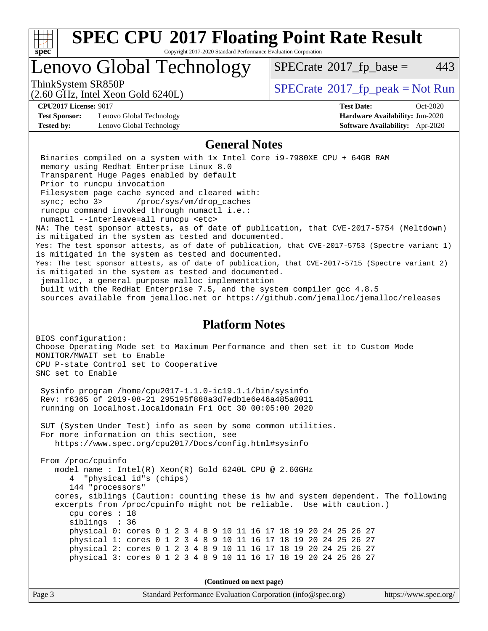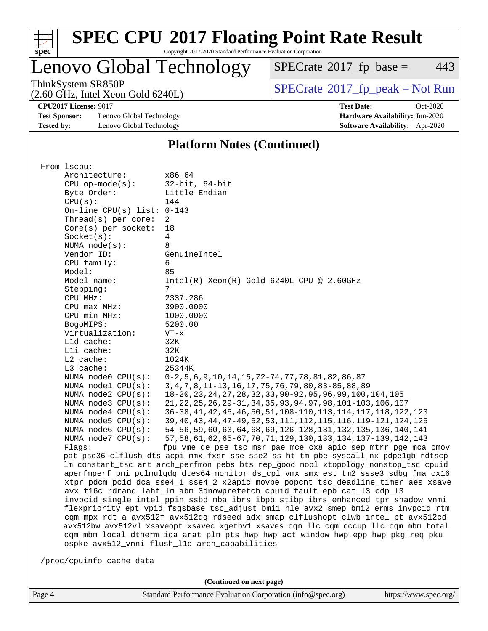

# **[SPEC CPU](http://www.spec.org/auto/cpu2017/Docs/result-fields.html#SPECCPU2017FloatingPointRateResult)[2017 Floating Point Rate Result](http://www.spec.org/auto/cpu2017/Docs/result-fields.html#SPECCPU2017FloatingPointRateResult)**

Copyright 2017-2020 Standard Performance Evaluation Corporation

Lenovo Global Technology

 $SPECTate@2017_fp\_base = 443$ 

(2.60 GHz, Intel Xeon Gold 6240L)

ThinkSystem SR850P<br>  $(2.60 \text{ GHz})$  Intel Xeon Gold 6240L)

**[CPU2017 License:](http://www.spec.org/auto/cpu2017/Docs/result-fields.html#CPU2017License)** 9017 **[Test Date:](http://www.spec.org/auto/cpu2017/Docs/result-fields.html#TestDate)** Oct-2020

**[Test Sponsor:](http://www.spec.org/auto/cpu2017/Docs/result-fields.html#TestSponsor)** Lenovo Global Technology **[Hardware Availability:](http://www.spec.org/auto/cpu2017/Docs/result-fields.html#HardwareAvailability)** Jun-2020 **[Tested by:](http://www.spec.org/auto/cpu2017/Docs/result-fields.html#Testedby)** Lenovo Global Technology **[Software Availability:](http://www.spec.org/auto/cpu2017/Docs/result-fields.html#SoftwareAvailability)** Apr-2020

#### **[Platform Notes \(Continued\)](http://www.spec.org/auto/cpu2017/Docs/result-fields.html#PlatformNotes)**

| Architecture:<br>x86 64<br>$32$ -bit, $64$ -bit<br>$CPU$ op-mode $(s)$ :<br>Little Endian<br>Byte Order:<br>CPU(s):<br>144<br>On-line CPU(s) list: $0-143$<br>Thread( $s$ ) per core:<br>$\overline{2}$<br>$Core(s)$ per socket:<br>18<br>Socket(s):<br>4<br>NUMA $node(s):$<br>8<br>Vendor ID:<br>GenuineIntel |
|-----------------------------------------------------------------------------------------------------------------------------------------------------------------------------------------------------------------------------------------------------------------------------------------------------------------|
|                                                                                                                                                                                                                                                                                                                 |
|                                                                                                                                                                                                                                                                                                                 |
|                                                                                                                                                                                                                                                                                                                 |
|                                                                                                                                                                                                                                                                                                                 |
|                                                                                                                                                                                                                                                                                                                 |
|                                                                                                                                                                                                                                                                                                                 |
|                                                                                                                                                                                                                                                                                                                 |
|                                                                                                                                                                                                                                                                                                                 |
|                                                                                                                                                                                                                                                                                                                 |
|                                                                                                                                                                                                                                                                                                                 |
| CPU family:<br>6                                                                                                                                                                                                                                                                                                |
| Model:<br>85                                                                                                                                                                                                                                                                                                    |
| Model name:<br>$Intel(R) Xeon(R) Gold 6240L CPU @ 2.60GHz$                                                                                                                                                                                                                                                      |
| Stepping:<br>7                                                                                                                                                                                                                                                                                                  |
| CPU MHz:<br>2337.286                                                                                                                                                                                                                                                                                            |
| CPU max MHz:<br>3900.0000                                                                                                                                                                                                                                                                                       |
| CPU min MHz:<br>1000.0000                                                                                                                                                                                                                                                                                       |
| BogoMIPS:<br>5200.00                                                                                                                                                                                                                                                                                            |
| Virtualization:<br>$VT - x$                                                                                                                                                                                                                                                                                     |
| Lld cache:<br>32K                                                                                                                                                                                                                                                                                               |
| Lli cache:<br>32K                                                                                                                                                                                                                                                                                               |
| L2 cache:<br>1024K                                                                                                                                                                                                                                                                                              |
| L3 cache:<br>25344K                                                                                                                                                                                                                                                                                             |
| NUMA $node0$ $CPU(s)$ :<br>0-2,5,6,9,10,14,15,72-74,77,78,81,82,86,87                                                                                                                                                                                                                                           |
| 3, 4, 7, 8, 11-13, 16, 17, 75, 76, 79, 80, 83-85, 88, 89<br>NUMA nodel CPU(s):                                                                                                                                                                                                                                  |
| NUMA node2 CPU(s):<br>18-20, 23, 24, 27, 28, 32, 33, 90-92, 95, 96, 99, 100, 104, 105                                                                                                                                                                                                                           |
| 21, 22, 25, 26, 29-31, 34, 35, 93, 94, 97, 98, 101-103, 106, 107<br>NUMA $node3$ CPU $(s)$ :                                                                                                                                                                                                                    |
| NUMA $node4$ CPU $(s)$ :<br>36-38, 41, 42, 45, 46, 50, 51, 108-110, 113, 114, 117, 118, 122, 123                                                                                                                                                                                                                |
| NUMA node5 CPU(s):<br>39, 40, 43, 44, 47-49, 52, 53, 111, 112, 115, 116, 119-121, 124, 125                                                                                                                                                                                                                      |
| 54-56, 59, 60, 63, 64, 68, 69, 126-128, 131, 132, 135, 136, 140, 141<br>NUMA node6 CPU(s):                                                                                                                                                                                                                      |
| 57, 58, 61, 62, 65-67, 70, 71, 129, 130, 133, 134, 137-139, 142, 143<br>NUMA node7 CPU(s):                                                                                                                                                                                                                      |
| fpu vme de pse tsc msr pae mce cx8 apic sep mtrr pge mca cmov<br>Flaqs:                                                                                                                                                                                                                                         |
| pat pse36 clflush dts acpi mmx fxsr sse sse2 ss ht tm pbe syscall nx pdpelgb rdtscp                                                                                                                                                                                                                             |
| lm constant_tsc art arch_perfmon pebs bts rep_good nopl xtopology nonstop_tsc cpuid                                                                                                                                                                                                                             |
| aperfmperf pni pclmulqdq dtes64 monitor ds_cpl vmx smx est tm2 ssse3 sdbg fma cx16                                                                                                                                                                                                                              |
| xtpr pdcm pcid dca sse4_1 sse4_2 x2apic movbe popcnt tsc_deadline_timer aes xsave                                                                                                                                                                                                                               |
| avx f16c rdrand lahf_lm abm 3dnowprefetch cpuid_fault epb cat_13 cdp_13                                                                                                                                                                                                                                         |
| invpcid_single intel_ppin ssbd mba ibrs ibpb stibp ibrs_enhanced tpr_shadow vnmi                                                                                                                                                                                                                                |
| flexpriority ept vpid fsgsbase tsc_adjust bmil hle avx2 smep bmi2 erms invpcid rtm                                                                                                                                                                                                                              |
| cqm mpx rdt_a avx512f avx512dq rdseed adx smap clflushopt clwb intel_pt avx512cd                                                                                                                                                                                                                                |
| avx512bw avx512vl xsaveopt xsavec xgetbvl xsaves cqm_llc cqm_occup_llc cqm_mbm_total                                                                                                                                                                                                                            |
| cqm_mbm_local dtherm ida arat pln pts hwp hwp_act_window hwp_epp hwp_pkg_req pku                                                                                                                                                                                                                                |
| ospke avx512_vnni flush_l1d arch_capabilities                                                                                                                                                                                                                                                                   |
|                                                                                                                                                                                                                                                                                                                 |
| /proc/cpuinfo cache data                                                                                                                                                                                                                                                                                        |

**(Continued on next page)**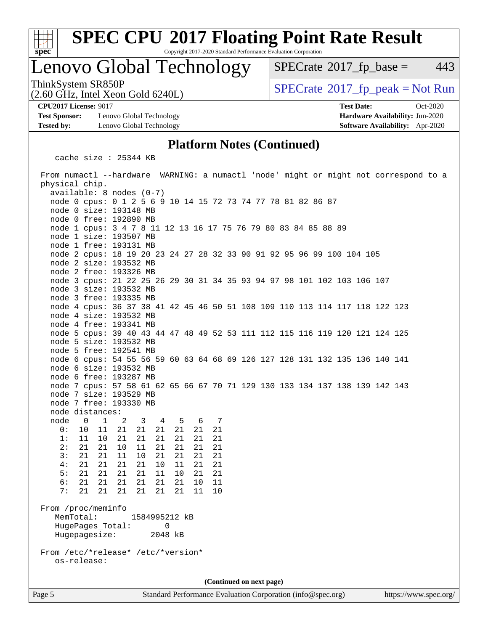

# **[SPEC CPU](http://www.spec.org/auto/cpu2017/Docs/result-fields.html#SPECCPU2017FloatingPointRateResult)[2017 Floating Point Rate Result](http://www.spec.org/auto/cpu2017/Docs/result-fields.html#SPECCPU2017FloatingPointRateResult)**

Copyright 2017-2020 Standard Performance Evaluation Corporation

## Lenovo Global Technology

 $SPECTate$ <sup>®</sup>[2017\\_fp\\_base =](http://www.spec.org/auto/cpu2017/Docs/result-fields.html#SPECrate2017fpbase) 443

ThinkSystem SR850P<br>(2.60 GHz, Intel Xeon Gold 6240L)  $\begin{array}{c} | \text{SPECrate} \textcircled{2017\_fp\_peak} = \text{Not Run} \end{array}$  $\begin{array}{c} | \text{SPECrate} \textcircled{2017\_fp\_peak} = \text{Not Run} \end{array}$  $\begin{array}{c} | \text{SPECrate} \textcircled{2017\_fp\_peak} = \text{Not Run} \end{array}$ 

**[Test Sponsor:](http://www.spec.org/auto/cpu2017/Docs/result-fields.html#TestSponsor)** Lenovo Global Technology **[Hardware Availability:](http://www.spec.org/auto/cpu2017/Docs/result-fields.html#HardwareAvailability)** Jun-2020 **[Tested by:](http://www.spec.org/auto/cpu2017/Docs/result-fields.html#Testedby)** Lenovo Global Technology **[Software Availability:](http://www.spec.org/auto/cpu2017/Docs/result-fields.html#SoftwareAvailability)** Apr-2020

(2.60 GHz, Intel Xeon Gold 6240L)

**[CPU2017 License:](http://www.spec.org/auto/cpu2017/Docs/result-fields.html#CPU2017License)** 9017 **[Test Date:](http://www.spec.org/auto/cpu2017/Docs/result-fields.html#TestDate)** Oct-2020

#### **[Platform Notes \(Continued\)](http://www.spec.org/auto/cpu2017/Docs/result-fields.html#PlatformNotes)**

cache size : 25344 KB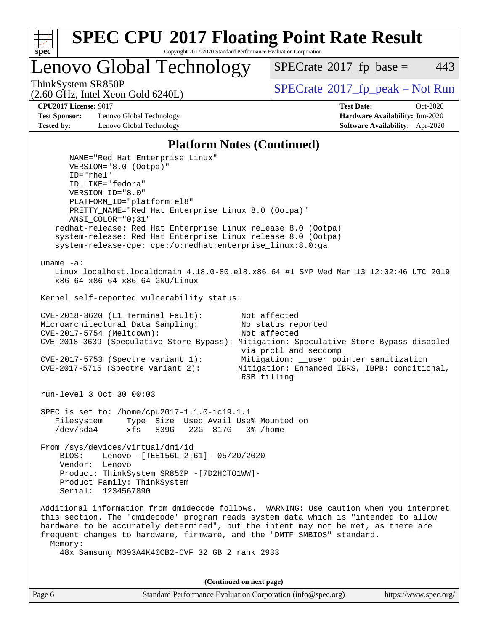

Lenovo Global Technology

 $SPECTate$ <sup>®</sup>[2017\\_fp\\_base =](http://www.spec.org/auto/cpu2017/Docs/result-fields.html#SPECrate2017fpbase) 443

(2.60 GHz, Intel Xeon Gold 6240L)

ThinkSystem SR850P<br>  $SPECTI<sub>2</sub>$  [SPECrate](http://www.spec.org/auto/cpu2017/Docs/result-fields.html#SPECrate2017fppeak)®[2017\\_fp\\_peak = N](http://www.spec.org/auto/cpu2017/Docs/result-fields.html#SPECrate2017fppeak)ot Run

**[Test Sponsor:](http://www.spec.org/auto/cpu2017/Docs/result-fields.html#TestSponsor)** Lenovo Global Technology **[Hardware Availability:](http://www.spec.org/auto/cpu2017/Docs/result-fields.html#HardwareAvailability)** Jun-2020 **[Tested by:](http://www.spec.org/auto/cpu2017/Docs/result-fields.html#Testedby)** Lenovo Global Technology **[Software Availability:](http://www.spec.org/auto/cpu2017/Docs/result-fields.html#SoftwareAvailability)** Apr-2020

**[CPU2017 License:](http://www.spec.org/auto/cpu2017/Docs/result-fields.html#CPU2017License)** 9017 **[Test Date:](http://www.spec.org/auto/cpu2017/Docs/result-fields.html#TestDate)** Oct-2020

#### **[Platform Notes \(Continued\)](http://www.spec.org/auto/cpu2017/Docs/result-fields.html#PlatformNotes)**

 NAME="Red Hat Enterprise Linux" VERSION="8.0 (Ootpa)" ID="rhel" ID\_LIKE="fedora" VERSION\_ID="8.0" PLATFORM\_ID="platform:el8" PRETTY\_NAME="Red Hat Enterprise Linux 8.0 (Ootpa)" ANSI\_COLOR="0;31" redhat-release: Red Hat Enterprise Linux release 8.0 (Ootpa) system-release: Red Hat Enterprise Linux release 8.0 (Ootpa) system-release-cpe: cpe:/o:redhat:enterprise\_linux:8.0:ga uname -a: Linux localhost.localdomain 4.18.0-80.el8.x86\_64 #1 SMP Wed Mar 13 12:02:46 UTC 2019 x86\_64 x86\_64 x86\_64 GNU/Linux Kernel self-reported vulnerability status: CVE-2018-3620 (L1 Terminal Fault): Not affected<br>Microarchitectural Data Sampling: No status reported Microarchitectural Data Sampling: CVE-2017-5754 (Meltdown): Not affected CVE-2018-3639 (Speculative Store Bypass): Mitigation: Speculative Store Bypass disabled via prctl and seccomp CVE-2017-5753 (Spectre variant 1): Mitigation: \_\_user pointer sanitization CVE-2017-5715 (Spectre variant 2): Mitigation: Enhanced IBRS, IBPB: conditional, RSB filling run-level 3 Oct 30 00:03 SPEC is set to: /home/cpu2017-1.1.0-ic19.1.1 Filesystem Type Size Used Avail Use% Mounted on /dev/sda4 xfs 839G 22G 817G 3% /home From /sys/devices/virtual/dmi/id BIOS: Lenovo -[TEE156L-2.61]- 05/20/2020 Vendor: Lenovo Product: ThinkSystem SR850P -[7D2HCTO1WW]- Product Family: ThinkSystem Serial: 1234567890 Additional information from dmidecode follows. WARNING: Use caution when you interpret this section. The 'dmidecode' program reads system data which is "intended to allow hardware to be accurately determined", but the intent may not be met, as there are frequent changes to hardware, firmware, and the "DMTF SMBIOS" standard. Memory: 48x Samsung M393A4K40CB2-CVF 32 GB 2 rank 2933

**(Continued on next page)**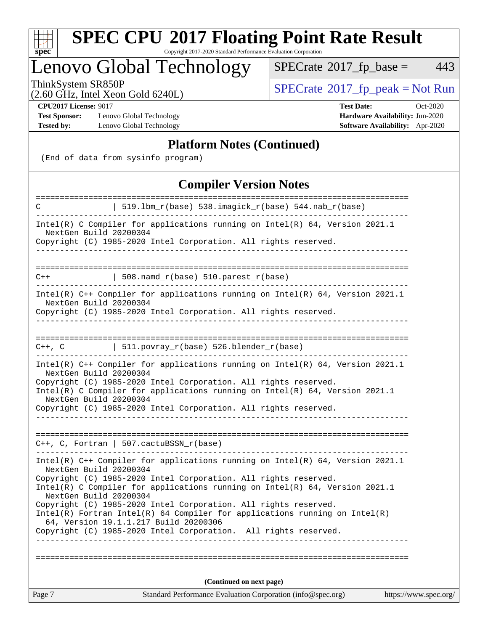

# **[SPEC CPU](http://www.spec.org/auto/cpu2017/Docs/result-fields.html#SPECCPU2017FloatingPointRateResult)[2017 Floating Point Rate Result](http://www.spec.org/auto/cpu2017/Docs/result-fields.html#SPECCPU2017FloatingPointRateResult)**

Copyright 2017-2020 Standard Performance Evaluation Corporation

## Lenovo Global Technology

 $SPECTate@2017_fp\_base = 443$ 

(2.60 GHz, Intel Xeon Gold 6240L)

ThinkSystem SR850P<br>  $(2.60 \text{ GHz})$  Intel Xeon Gold 6240L)

**[Test Sponsor:](http://www.spec.org/auto/cpu2017/Docs/result-fields.html#TestSponsor)** Lenovo Global Technology **[Hardware Availability:](http://www.spec.org/auto/cpu2017/Docs/result-fields.html#HardwareAvailability)** Jun-2020 **[Tested by:](http://www.spec.org/auto/cpu2017/Docs/result-fields.html#Testedby)** Lenovo Global Technology **[Software Availability:](http://www.spec.org/auto/cpu2017/Docs/result-fields.html#SoftwareAvailability)** Apr-2020

**[CPU2017 License:](http://www.spec.org/auto/cpu2017/Docs/result-fields.html#CPU2017License)** 9017 **[Test Date:](http://www.spec.org/auto/cpu2017/Docs/result-fields.html#TestDate)** Oct-2020

#### **[Platform Notes \(Continued\)](http://www.spec.org/auto/cpu2017/Docs/result-fields.html#PlatformNotes)**

(End of data from sysinfo program)

### **[Compiler Version Notes](http://www.spec.org/auto/cpu2017/Docs/result-fields.html#CompilerVersionNotes)**

| C                                                                                                        | 519.1bm_r(base) 538.imagick_r(base) 544.nab_r(base)                                                                                              |                       |  |  |  |
|----------------------------------------------------------------------------------------------------------|--------------------------------------------------------------------------------------------------------------------------------------------------|-----------------------|--|--|--|
|                                                                                                          |                                                                                                                                                  |                       |  |  |  |
| Intel(R) C Compiler for applications running on $Intel(R) 64$ , Version 2021.1<br>NextGen Build 20200304 |                                                                                                                                                  |                       |  |  |  |
| Copyright (C) 1985-2020 Intel Corporation. All rights reserved.                                          |                                                                                                                                                  |                       |  |  |  |
|                                                                                                          |                                                                                                                                                  |                       |  |  |  |
|                                                                                                          |                                                                                                                                                  |                       |  |  |  |
| $C++$                                                                                                    | $\vert$ 508.namd_r(base) 510.parest_r(base)                                                                                                      |                       |  |  |  |
| NextGen Build 20200304                                                                                   | Intel(R) C++ Compiler for applications running on Intel(R) 64, Version 2021.1                                                                    |                       |  |  |  |
|                                                                                                          | Copyright (C) 1985-2020 Intel Corporation. All rights reserved.                                                                                  |                       |  |  |  |
|                                                                                                          |                                                                                                                                                  |                       |  |  |  |
|                                                                                                          | C++, C $  511.povray_r(base) 526.blender_r(base)$                                                                                                |                       |  |  |  |
| NextGen Build 20200304                                                                                   | Intel(R) C++ Compiler for applications running on Intel(R) $64$ , Version 2021.1                                                                 |                       |  |  |  |
|                                                                                                          | Copyright (C) 1985-2020 Intel Corporation. All rights reserved.<br>Intel(R) C Compiler for applications running on $Intel(R)$ 64, Version 2021.1 |                       |  |  |  |
| NextGen Build 20200304                                                                                   |                                                                                                                                                  |                       |  |  |  |
|                                                                                                          | Copyright (C) 1985-2020 Intel Corporation. All rights reserved.                                                                                  |                       |  |  |  |
|                                                                                                          |                                                                                                                                                  |                       |  |  |  |
|                                                                                                          | $C++$ , C, Fortran   507.cactuBSSN_r(base)                                                                                                       |                       |  |  |  |
|                                                                                                          |                                                                                                                                                  |                       |  |  |  |
| NextGen Build 20200304                                                                                   | Intel(R) $C++$ Compiler for applications running on Intel(R) 64, Version 2021.1                                                                  |                       |  |  |  |
|                                                                                                          | Copyright (C) 1985-2020 Intel Corporation. All rights reserved.                                                                                  |                       |  |  |  |
| NextGen Build 20200304                                                                                   | Intel(R) C Compiler for applications running on $Intel(R) 64$ , Version 2021.1                                                                   |                       |  |  |  |
|                                                                                                          | Copyright (C) 1985-2020 Intel Corporation. All rights reserved.                                                                                  |                       |  |  |  |
|                                                                                                          | $Intel(R)$ Fortran Intel(R) 64 Compiler for applications running on Intel(R)                                                                     |                       |  |  |  |
|                                                                                                          | 64, Version 19.1.1.217 Build 20200306<br>Copyright (C) 1985-2020 Intel Corporation. All rights reserved.                                         |                       |  |  |  |
|                                                                                                          |                                                                                                                                                  |                       |  |  |  |
|                                                                                                          |                                                                                                                                                  |                       |  |  |  |
|                                                                                                          |                                                                                                                                                  |                       |  |  |  |
|                                                                                                          | (Continued on next page)                                                                                                                         |                       |  |  |  |
| Page 7                                                                                                   | Standard Performance Evaluation Corporation (info@spec.org)                                                                                      | https://www.spec.org/ |  |  |  |
|                                                                                                          |                                                                                                                                                  |                       |  |  |  |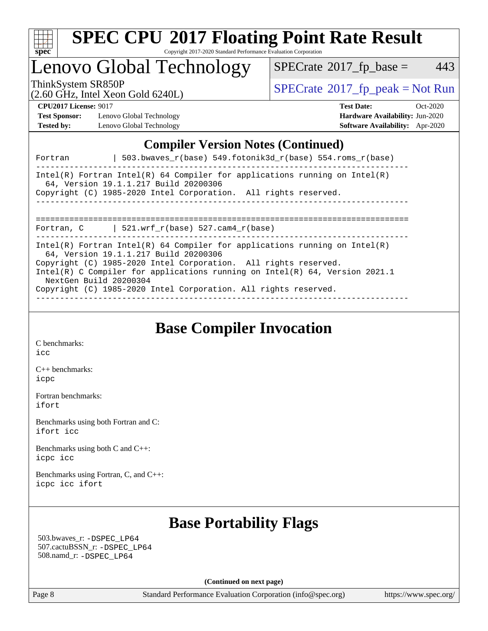

## Lenovo Global Technology

 $SPECTate@2017_fp\_base = 443$ 

(2.60 GHz, Intel Xeon Gold 6240L)

ThinkSystem SR850P<br>  $\begin{array}{c}\n\text{SPECrate} \textcirc 2017\_fp\_peak = Not Run \\
\text{SPECrate} \textcirc 2017\_fp\_peak = Not Run\n\end{array}$  $\begin{array}{c}\n\text{SPECrate} \textcirc 2017\_fp\_peak = Not Run \\
\text{SPECrate} \textcirc 2017\_fp\_peak = Not Run\n\end{array}$  $\begin{array}{c}\n\text{SPECrate} \textcirc 2017\_fp\_peak = Not Run \\
\text{SPECrate} \textcirc 2017\_fp\_peak = Not Run\n\end{array}$ 

**[Test Sponsor:](http://www.spec.org/auto/cpu2017/Docs/result-fields.html#TestSponsor)** Lenovo Global Technology **[Hardware Availability:](http://www.spec.org/auto/cpu2017/Docs/result-fields.html#HardwareAvailability)** Jun-2020 **[Tested by:](http://www.spec.org/auto/cpu2017/Docs/result-fields.html#Testedby)** Lenovo Global Technology **[Software Availability:](http://www.spec.org/auto/cpu2017/Docs/result-fields.html#SoftwareAvailability)** Apr-2020

**[CPU2017 License:](http://www.spec.org/auto/cpu2017/Docs/result-fields.html#CPU2017License)** 9017 **[Test Date:](http://www.spec.org/auto/cpu2017/Docs/result-fields.html#TestDate)** Oct-2020

## **[Compiler Version Notes \(Continued\)](http://www.spec.org/auto/cpu2017/Docs/result-fields.html#CompilerVersionNotes)**

| 503.bwaves $r(base)$ 549.fotonik3d $r(base)$ 554.roms $r(base)$<br>Fortran                                                                                                                                                                                                                                                                                            |
|-----------------------------------------------------------------------------------------------------------------------------------------------------------------------------------------------------------------------------------------------------------------------------------------------------------------------------------------------------------------------|
| Intel(R) Fortran Intel(R) 64 Compiler for applications running on Intel(R)<br>64, Version 19.1.1.217 Build 20200306<br>Copyright (C) 1985-2020 Intel Corporation. All rights reserved.<br>________________________________                                                                                                                                            |
| Fortran, $C$   521.wrf_r(base) 527.cam4_r(base)                                                                                                                                                                                                                                                                                                                       |
| Intel(R) Fortran Intel(R) 64 Compiler for applications running on Intel(R)<br>64, Version 19.1.1.217 Build 20200306<br>Copyright (C) 1985-2020 Intel Corporation. All rights reserved.<br>Intel(R) C Compiler for applications running on Intel(R) $64$ , Version 2021.1<br>NextGen Build 20200304<br>Copyright (C) 1985-2020 Intel Corporation. All rights reserved. |

**[Base Compiler Invocation](http://www.spec.org/auto/cpu2017/Docs/result-fields.html#BaseCompilerInvocation)**

[C benchmarks](http://www.spec.org/auto/cpu2017/Docs/result-fields.html#Cbenchmarks): [icc](http://www.spec.org/cpu2017/results/res2020q4/cpu2017-20201109-24365.flags.html#user_CCbase_intel_icc_66fc1ee009f7361af1fbd72ca7dcefbb700085f36577c54f309893dd4ec40d12360134090235512931783d35fd58c0460139e722d5067c5574d8eaf2b3e37e92)

[C++ benchmarks:](http://www.spec.org/auto/cpu2017/Docs/result-fields.html#CXXbenchmarks) [icpc](http://www.spec.org/cpu2017/results/res2020q4/cpu2017-20201109-24365.flags.html#user_CXXbase_intel_icpc_c510b6838c7f56d33e37e94d029a35b4a7bccf4766a728ee175e80a419847e808290a9b78be685c44ab727ea267ec2f070ec5dc83b407c0218cded6866a35d07)

[Fortran benchmarks](http://www.spec.org/auto/cpu2017/Docs/result-fields.html#Fortranbenchmarks): [ifort](http://www.spec.org/cpu2017/results/res2020q4/cpu2017-20201109-24365.flags.html#user_FCbase_intel_ifort_8111460550e3ca792625aed983ce982f94888b8b503583aa7ba2b8303487b4d8a21a13e7191a45c5fd58ff318f48f9492884d4413fa793fd88dd292cad7027ca)

[Benchmarks using both Fortran and C](http://www.spec.org/auto/cpu2017/Docs/result-fields.html#BenchmarksusingbothFortranandC): [ifort](http://www.spec.org/cpu2017/results/res2020q4/cpu2017-20201109-24365.flags.html#user_CC_FCbase_intel_ifort_8111460550e3ca792625aed983ce982f94888b8b503583aa7ba2b8303487b4d8a21a13e7191a45c5fd58ff318f48f9492884d4413fa793fd88dd292cad7027ca) [icc](http://www.spec.org/cpu2017/results/res2020q4/cpu2017-20201109-24365.flags.html#user_CC_FCbase_intel_icc_66fc1ee009f7361af1fbd72ca7dcefbb700085f36577c54f309893dd4ec40d12360134090235512931783d35fd58c0460139e722d5067c5574d8eaf2b3e37e92)

[Benchmarks using both C and C++](http://www.spec.org/auto/cpu2017/Docs/result-fields.html#BenchmarksusingbothCandCXX): [icpc](http://www.spec.org/cpu2017/results/res2020q4/cpu2017-20201109-24365.flags.html#user_CC_CXXbase_intel_icpc_c510b6838c7f56d33e37e94d029a35b4a7bccf4766a728ee175e80a419847e808290a9b78be685c44ab727ea267ec2f070ec5dc83b407c0218cded6866a35d07) [icc](http://www.spec.org/cpu2017/results/res2020q4/cpu2017-20201109-24365.flags.html#user_CC_CXXbase_intel_icc_66fc1ee009f7361af1fbd72ca7dcefbb700085f36577c54f309893dd4ec40d12360134090235512931783d35fd58c0460139e722d5067c5574d8eaf2b3e37e92)

[Benchmarks using Fortran, C, and C++:](http://www.spec.org/auto/cpu2017/Docs/result-fields.html#BenchmarksusingFortranCandCXX) [icpc](http://www.spec.org/cpu2017/results/res2020q4/cpu2017-20201109-24365.flags.html#user_CC_CXX_FCbase_intel_icpc_c510b6838c7f56d33e37e94d029a35b4a7bccf4766a728ee175e80a419847e808290a9b78be685c44ab727ea267ec2f070ec5dc83b407c0218cded6866a35d07) [icc](http://www.spec.org/cpu2017/results/res2020q4/cpu2017-20201109-24365.flags.html#user_CC_CXX_FCbase_intel_icc_66fc1ee009f7361af1fbd72ca7dcefbb700085f36577c54f309893dd4ec40d12360134090235512931783d35fd58c0460139e722d5067c5574d8eaf2b3e37e92) [ifort](http://www.spec.org/cpu2017/results/res2020q4/cpu2017-20201109-24365.flags.html#user_CC_CXX_FCbase_intel_ifort_8111460550e3ca792625aed983ce982f94888b8b503583aa7ba2b8303487b4d8a21a13e7191a45c5fd58ff318f48f9492884d4413fa793fd88dd292cad7027ca)

## **[Base Portability Flags](http://www.spec.org/auto/cpu2017/Docs/result-fields.html#BasePortabilityFlags)**

 503.bwaves\_r: [-DSPEC\\_LP64](http://www.spec.org/cpu2017/results/res2020q4/cpu2017-20201109-24365.flags.html#suite_basePORTABILITY503_bwaves_r_DSPEC_LP64) 507.cactuBSSN\_r: [-DSPEC\\_LP64](http://www.spec.org/cpu2017/results/res2020q4/cpu2017-20201109-24365.flags.html#suite_basePORTABILITY507_cactuBSSN_r_DSPEC_LP64) 508.namd\_r: [-DSPEC\\_LP64](http://www.spec.org/cpu2017/results/res2020q4/cpu2017-20201109-24365.flags.html#suite_basePORTABILITY508_namd_r_DSPEC_LP64)

**(Continued on next page)**

Page 8 Standard Performance Evaluation Corporation [\(info@spec.org\)](mailto:info@spec.org) <https://www.spec.org/>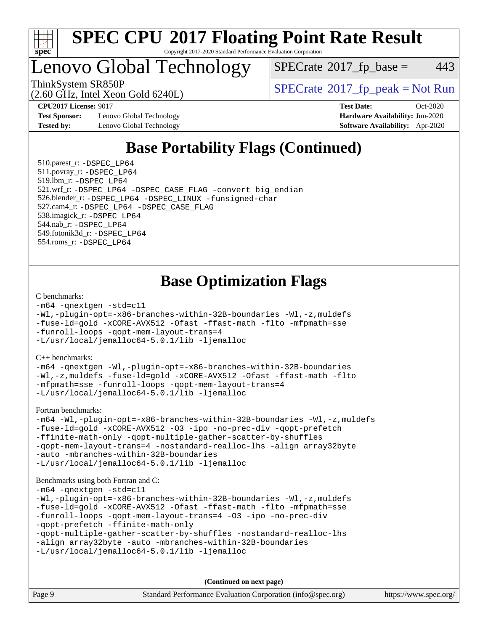

## Lenovo Global Technology

 $SPECTate$ <sup>®</sup>[2017\\_fp\\_base =](http://www.spec.org/auto/cpu2017/Docs/result-fields.html#SPECrate2017fpbase) 443

ThinkSystem SR850P<br>  $(2.60 \text{ GHz, Intel Yoon Gold } 6240I)$  [SPECrate](http://www.spec.org/auto/cpu2017/Docs/result-fields.html#SPECrate2017fppeak)®[2017\\_fp\\_peak = N](http://www.spec.org/auto/cpu2017/Docs/result-fields.html#SPECrate2017fppeak)ot Run

**[Test Sponsor:](http://www.spec.org/auto/cpu2017/Docs/result-fields.html#TestSponsor)** Lenovo Global Technology **[Hardware Availability:](http://www.spec.org/auto/cpu2017/Docs/result-fields.html#HardwareAvailability)** Jun-2020 **[Tested by:](http://www.spec.org/auto/cpu2017/Docs/result-fields.html#Testedby)** Lenovo Global Technology **[Software Availability:](http://www.spec.org/auto/cpu2017/Docs/result-fields.html#SoftwareAvailability)** Apr-2020

(2.60 GHz, Intel Xeon Gold 6240L)

**[CPU2017 License:](http://www.spec.org/auto/cpu2017/Docs/result-fields.html#CPU2017License)** 9017 **[Test Date:](http://www.spec.org/auto/cpu2017/Docs/result-fields.html#TestDate)** Oct-2020

## **[Base Portability Flags \(Continued\)](http://www.spec.org/auto/cpu2017/Docs/result-fields.html#BasePortabilityFlags)**

 510.parest\_r: [-DSPEC\\_LP64](http://www.spec.org/cpu2017/results/res2020q4/cpu2017-20201109-24365.flags.html#suite_basePORTABILITY510_parest_r_DSPEC_LP64) 511.povray\_r: [-DSPEC\\_LP64](http://www.spec.org/cpu2017/results/res2020q4/cpu2017-20201109-24365.flags.html#suite_basePORTABILITY511_povray_r_DSPEC_LP64) 519.lbm\_r: [-DSPEC\\_LP64](http://www.spec.org/cpu2017/results/res2020q4/cpu2017-20201109-24365.flags.html#suite_basePORTABILITY519_lbm_r_DSPEC_LP64) 521.wrf\_r: [-DSPEC\\_LP64](http://www.spec.org/cpu2017/results/res2020q4/cpu2017-20201109-24365.flags.html#suite_basePORTABILITY521_wrf_r_DSPEC_LP64) [-DSPEC\\_CASE\\_FLAG](http://www.spec.org/cpu2017/results/res2020q4/cpu2017-20201109-24365.flags.html#b521.wrf_r_baseCPORTABILITY_DSPEC_CASE_FLAG) [-convert big\\_endian](http://www.spec.org/cpu2017/results/res2020q4/cpu2017-20201109-24365.flags.html#user_baseFPORTABILITY521_wrf_r_convert_big_endian_c3194028bc08c63ac5d04de18c48ce6d347e4e562e8892b8bdbdc0214820426deb8554edfa529a3fb25a586e65a3d812c835984020483e7e73212c4d31a38223) 526.blender\_r: [-DSPEC\\_LP64](http://www.spec.org/cpu2017/results/res2020q4/cpu2017-20201109-24365.flags.html#suite_basePORTABILITY526_blender_r_DSPEC_LP64) [-DSPEC\\_LINUX](http://www.spec.org/cpu2017/results/res2020q4/cpu2017-20201109-24365.flags.html#b526.blender_r_baseCPORTABILITY_DSPEC_LINUX) [-funsigned-char](http://www.spec.org/cpu2017/results/res2020q4/cpu2017-20201109-24365.flags.html#user_baseCPORTABILITY526_blender_r_force_uchar_40c60f00ab013830e2dd6774aeded3ff59883ba5a1fc5fc14077f794d777847726e2a5858cbc7672e36e1b067e7e5c1d9a74f7176df07886a243d7cc18edfe67) 527.cam4\_r: [-DSPEC\\_LP64](http://www.spec.org/cpu2017/results/res2020q4/cpu2017-20201109-24365.flags.html#suite_basePORTABILITY527_cam4_r_DSPEC_LP64) [-DSPEC\\_CASE\\_FLAG](http://www.spec.org/cpu2017/results/res2020q4/cpu2017-20201109-24365.flags.html#b527.cam4_r_baseCPORTABILITY_DSPEC_CASE_FLAG) 538.imagick\_r: [-DSPEC\\_LP64](http://www.spec.org/cpu2017/results/res2020q4/cpu2017-20201109-24365.flags.html#suite_basePORTABILITY538_imagick_r_DSPEC_LP64) 544.nab\_r: [-DSPEC\\_LP64](http://www.spec.org/cpu2017/results/res2020q4/cpu2017-20201109-24365.flags.html#suite_basePORTABILITY544_nab_r_DSPEC_LP64) 549.fotonik3d\_r: [-DSPEC\\_LP64](http://www.spec.org/cpu2017/results/res2020q4/cpu2017-20201109-24365.flags.html#suite_basePORTABILITY549_fotonik3d_r_DSPEC_LP64) 554.roms\_r: [-DSPEC\\_LP64](http://www.spec.org/cpu2017/results/res2020q4/cpu2017-20201109-24365.flags.html#suite_basePORTABILITY554_roms_r_DSPEC_LP64)

## **[Base Optimization Flags](http://www.spec.org/auto/cpu2017/Docs/result-fields.html#BaseOptimizationFlags)**

#### [C benchmarks](http://www.spec.org/auto/cpu2017/Docs/result-fields.html#Cbenchmarks):

```
-m64 -qnextgen -std=c11
-Wl,-plugin-opt=-x86-branches-within-32B-boundaries -Wl,-z,muldefs
-fuse-ld=gold -xCORE-AVX512 -Ofast -ffast-math -flto -mfpmath=sse
-funroll-loops -qopt-mem-layout-trans=4
-L/usr/local/jemalloc64-5.0.1/lib -ljemalloc
```
[C++ benchmarks:](http://www.spec.org/auto/cpu2017/Docs/result-fields.html#CXXbenchmarks)

[-m64](http://www.spec.org/cpu2017/results/res2020q4/cpu2017-20201109-24365.flags.html#user_CXXbase_m64-icc) [-qnextgen](http://www.spec.org/cpu2017/results/res2020q4/cpu2017-20201109-24365.flags.html#user_CXXbase_f-qnextgen) [-Wl,-plugin-opt=-x86-branches-within-32B-boundaries](http://www.spec.org/cpu2017/results/res2020q4/cpu2017-20201109-24365.flags.html#user_CXXbase_f-x86-branches-within-32B-boundaries_0098b4e4317ae60947b7b728078a624952a08ac37a3c797dfb4ffeb399e0c61a9dd0f2f44ce917e9361fb9076ccb15e7824594512dd315205382d84209e912f3) [-Wl,-z,muldefs](http://www.spec.org/cpu2017/results/res2020q4/cpu2017-20201109-24365.flags.html#user_CXXbase_link_force_multiple1_b4cbdb97b34bdee9ceefcfe54f4c8ea74255f0b02a4b23e853cdb0e18eb4525ac79b5a88067c842dd0ee6996c24547a27a4b99331201badda8798ef8a743f577) [-fuse-ld=gold](http://www.spec.org/cpu2017/results/res2020q4/cpu2017-20201109-24365.flags.html#user_CXXbase_f-fuse-ld_920b3586e2b8c6e0748b9c84fa9b744736ba725a32cab14ad8f3d4ad28eecb2f59d1144823d2e17006539a88734fe1fc08fc3035f7676166309105a78aaabc32) [-xCORE-AVX512](http://www.spec.org/cpu2017/results/res2020q4/cpu2017-20201109-24365.flags.html#user_CXXbase_f-xCORE-AVX512) [-Ofast](http://www.spec.org/cpu2017/results/res2020q4/cpu2017-20201109-24365.flags.html#user_CXXbase_f-Ofast) [-ffast-math](http://www.spec.org/cpu2017/results/res2020q4/cpu2017-20201109-24365.flags.html#user_CXXbase_f-ffast-math) [-flto](http://www.spec.org/cpu2017/results/res2020q4/cpu2017-20201109-24365.flags.html#user_CXXbase_f-flto) [-mfpmath=sse](http://www.spec.org/cpu2017/results/res2020q4/cpu2017-20201109-24365.flags.html#user_CXXbase_f-mfpmath_70eb8fac26bde974f8ab713bc9086c5621c0b8d2f6c86f38af0bd7062540daf19db5f3a066d8c6684be05d84c9b6322eb3b5be6619d967835195b93d6c02afa1) [-funroll-loops](http://www.spec.org/cpu2017/results/res2020q4/cpu2017-20201109-24365.flags.html#user_CXXbase_f-funroll-loops) [-qopt-mem-layout-trans=4](http://www.spec.org/cpu2017/results/res2020q4/cpu2017-20201109-24365.flags.html#user_CXXbase_f-qopt-mem-layout-trans_fa39e755916c150a61361b7846f310bcdf6f04e385ef281cadf3647acec3f0ae266d1a1d22d972a7087a248fd4e6ca390a3634700869573d231a252c784941a8) [-L/usr/local/jemalloc64-5.0.1/lib](http://www.spec.org/cpu2017/results/res2020q4/cpu2017-20201109-24365.flags.html#user_CXXbase_jemalloc_link_path64_1_cc289568b1a6c0fd3b62c91b824c27fcb5af5e8098e6ad028160d21144ef1b8aef3170d2acf0bee98a8da324cfe4f67d0a3d0c4cc4673d993d694dc2a0df248b) [-ljemalloc](http://www.spec.org/cpu2017/results/res2020q4/cpu2017-20201109-24365.flags.html#user_CXXbase_jemalloc_link_lib_d1249b907c500fa1c0672f44f562e3d0f79738ae9e3c4a9c376d49f265a04b9c99b167ecedbf6711b3085be911c67ff61f150a17b3472be731631ba4d0471706)

[Fortran benchmarks](http://www.spec.org/auto/cpu2017/Docs/result-fields.html#Fortranbenchmarks):

```
-m64 -Wl,-plugin-opt=-x86-branches-within-32B-boundaries -Wl,-z,muldefs
-fuse-ld=gold -xCORE-AVX512 -O3 -ipo -no-prec-div -qopt-prefetch
-ffinite-math-only -qopt-multiple-gather-scatter-by-shuffles
-qopt-mem-layout-trans=4 -nostandard-realloc-lhs -align array32byte
-auto -mbranches-within-32B-boundaries
-L/usr/local/jemalloc64-5.0.1/lib -ljemalloc
```
#### [Benchmarks using both Fortran and C](http://www.spec.org/auto/cpu2017/Docs/result-fields.html#BenchmarksusingbothFortranandC):

```
-m64 -qnextgen -std=c11
-Wl,-plugin-opt=-x86-branches-within-32B-boundaries -Wl,-z,muldefs
-fuse-ld=gold -xCORE-AVX512 -Ofast -ffast-math -flto -mfpmath=sse
-funroll-loops -qopt-mem-layout-trans=4 -O3 -ipo -no-prec-div
-qopt-prefetch -ffinite-math-only
-qopt-multiple-gather-scatter-by-shuffles -nostandard-realloc-lhs
-align array32byte -auto -mbranches-within-32B-boundaries
-L/usr/local/jemalloc64-5.0.1/lib -ljemalloc
```
**(Continued on next page)**

| Page 9 | Standard Performance Evaluation Corporation (info@spec.org) | https://www.spec.org/ |
|--------|-------------------------------------------------------------|-----------------------|
|--------|-------------------------------------------------------------|-----------------------|